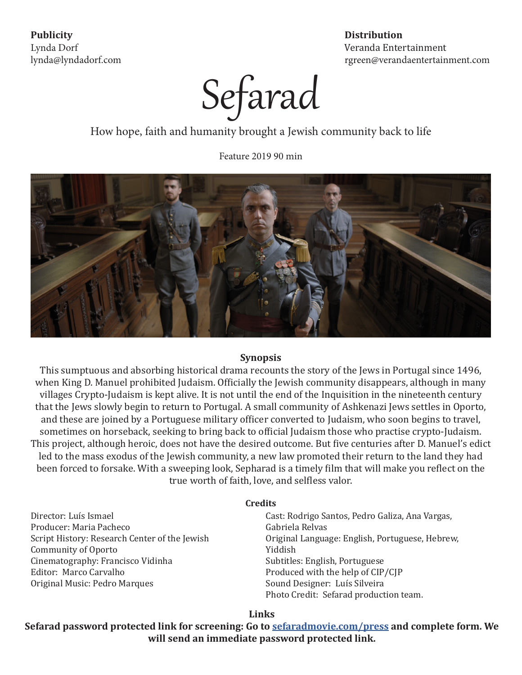**Publicity** Lynda Dorf lynda@lyndadorf.com **Distribution** Veranda Entertainment rgreen@verandaentertainment.com

Sefarad

# How hope, faith and humanity brought a Jewish community back to life

Feature 2019 90 min



#### **Synopsis**

This sumptuous and absorbing historical drama recounts the story of the Jews in Portugal since 1496, when King D. Manuel prohibited Judaism. Officially the Jewish community disappears, although in many villages Crypto-Judaism is kept alive. It is not until the end of the Inquisition in the nineteenth century that the Jews slowly begin to return to Portugal. A small community of Ashkenazi Jews settles in Oporto, and these are joined by a Portuguese military officer converted to Judaism, who soon begins to travel, sometimes on horseback, seeking to bring back to official Judaism those who practise crypto-Judaism. This project, although heroic, does not have the desired outcome. But five centuries after D. Manuel's edict led to the mass exodus of the Jewish community, a new law promoted their return to the land they had been forced to forsake. With a sweeping look, Sepharad is a timely film that will make you reflect on the true worth of faith, love, and selfless valor.

#### **Credits**

Director: Luís Ismael Producer: Maria Pacheco Script History: Research Center of the Jewish Community of Oporto Cinematography: Francisco Vidinha Editor: Marco Carvalho Original Music: Pedro Marques

Cast: Rodrigo Santos, Pedro Galiza, Ana Vargas, Gabriela Relvas Original Language: English, Portuguese, Hebrew, Yiddish Subtitles: English, Portuguese Produced with the help of CIP/CJP Sound Designer: Luís Silveira Photo Credit: Sefarad production team.

### **Links**

**Sefarad password protected link for screening: Go to sefaradmovie.com/press and complete form. We will send an immediate password protected link.**